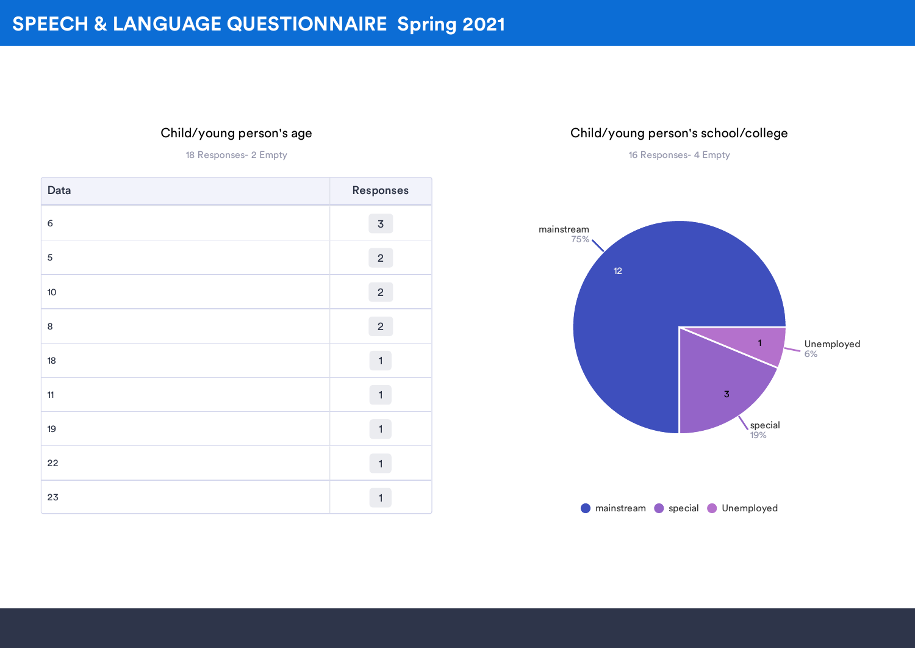#### Child/young person's age

18 Responses- 2 Empty

| Data        | Responses      |
|-------------|----------------|
| $\,$ 6 $\,$ | $\overline{3}$ |
| $\sqrt{5}$  | $\overline{2}$ |
| 10          | $\sqrt{2}$     |
| $\,$ 8 $\,$ | $\sqrt{2}$     |
| 18          | $\mathbf{1}$   |
| 11          | $\mathbf{1}$   |
| 19          | $\mathbf{1}$   |
| 22          | $\mathbf{1}$   |
| 23          | $\mathbf{1}$   |

#### Child/young person's school/college



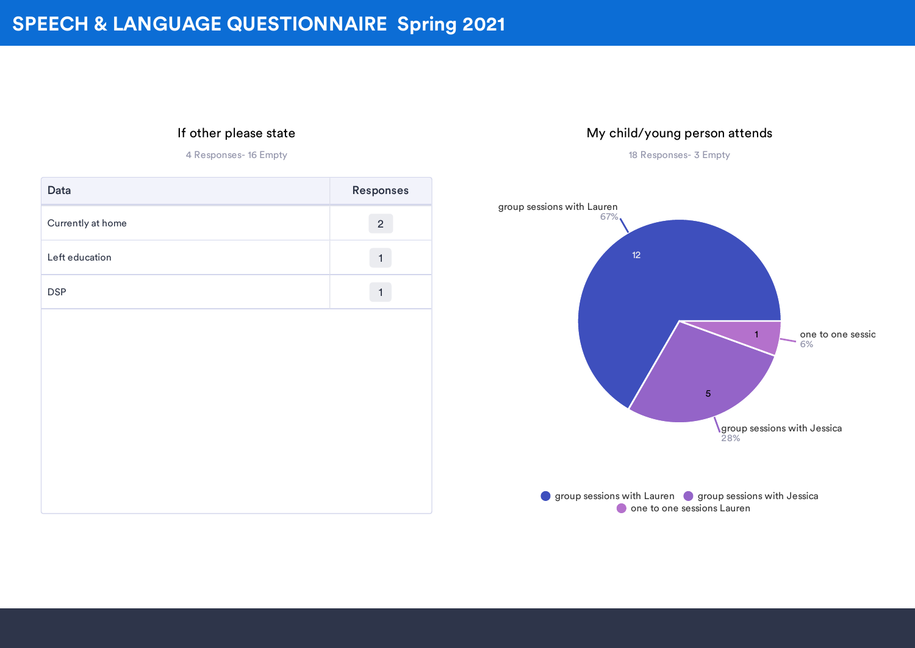#### If other please state

4 Responses- 16 Empty

| Data              | Responses      |
|-------------------|----------------|
| Currently at home | $\overline{c}$ |
| Left education    | $\mathbf{1}$   |
| <b>DSP</b>        | $\mathbf{1}$   |
|                   |                |
|                   |                |
|                   |                |
|                   |                |
|                   |                |
|                   |                |

#### My child/young person attends



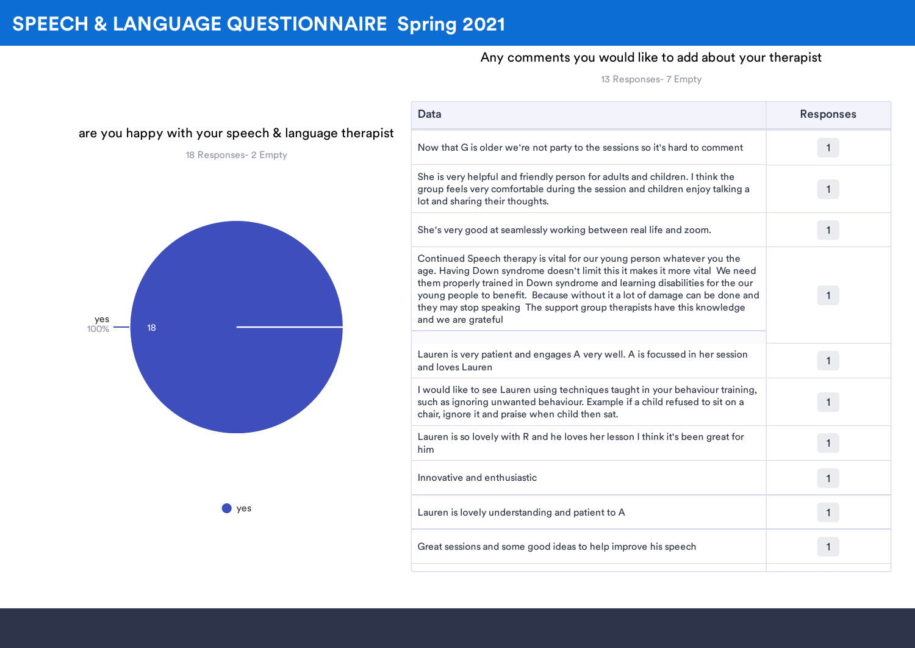#### Any comments you would like to add about your therapist

13 Responses- 7 Empty

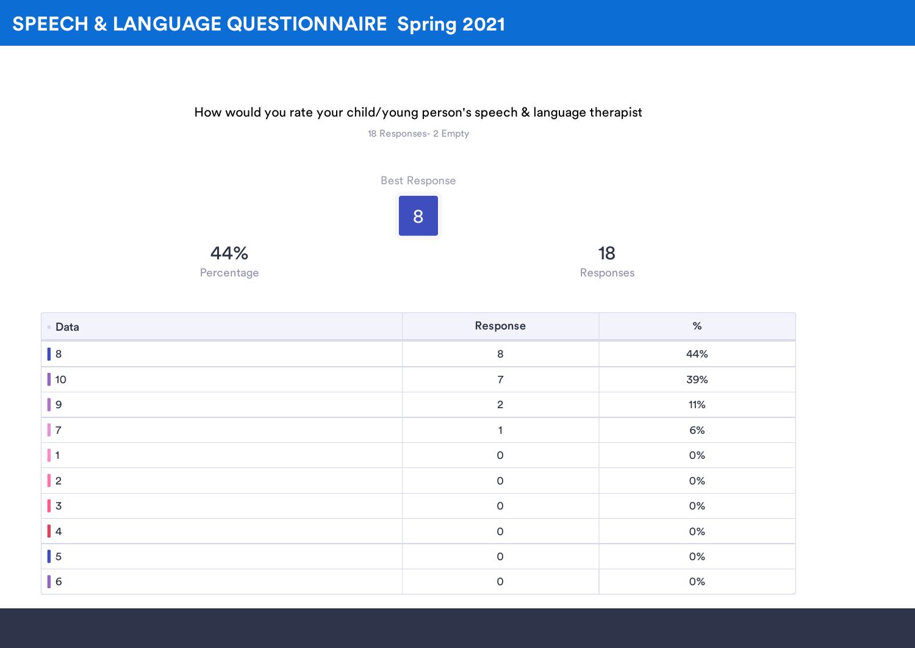44%

#### How would you rate your child/young person's speech & language therapist



| • Data          | Response            | $\%$ |
|-----------------|---------------------|------|
| $\parallel$ 8   | 8                   | 44%  |
| $\vert$ 10      | $\overline{7}$      | 39%  |
| $\vert$ 9       | $\overline{2}$      | 11%  |
| $\vert$ 7       | 1                   | 6%   |
| $\vert$ 1       | $\mathsf O$         | 0%   |
| $\parallel$ 2   | $\mathsf{O}$        | 0%   |
| $\vert \vert 3$ | $\mathsf{O}\xspace$ | 0%   |
| $\vert \vert$ 4 | $\mathsf{O}$        | 0%   |
| $\vert\vert$ 5  | $\mathsf O$         | 0%   |
| $\vert\vert$ 6  | $\mathsf O$         | 0%   |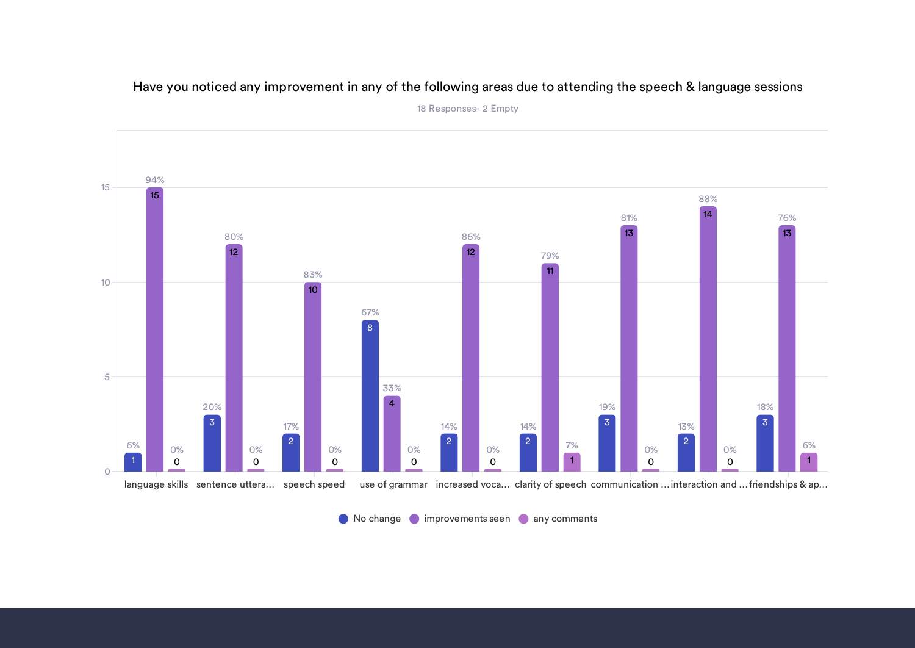#### Have you noticed any improvement in any of the following areas due to attending the speech & language sessions



18 Responses- 2 Empty

**No change improvements seen any comments**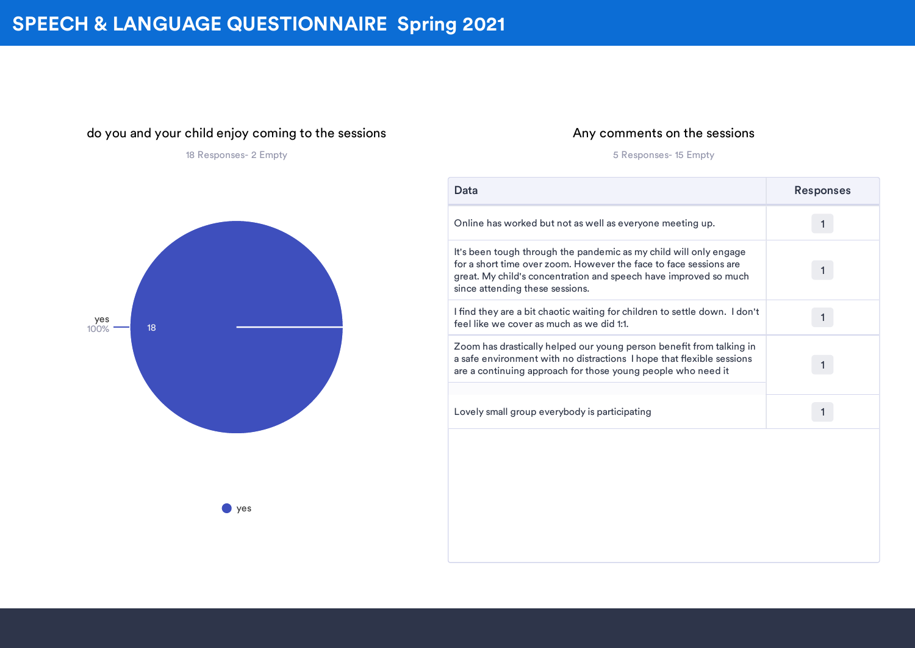#### do you and your child enjoy coming to the sessions

18 Responses- 2 Empty

#### Any comments on the sessions

#### 5 Responses- 15 Empty



| Data                                                                                                                                                                                                                                          | <b>Responses</b> |
|-----------------------------------------------------------------------------------------------------------------------------------------------------------------------------------------------------------------------------------------------|------------------|
| Online has worked but not as well as everyone meeting up.                                                                                                                                                                                     |                  |
| It's been tough through the pandemic as my child will only engage<br>for a short time over zoom. However the face to face sessions are<br>great. My child's concentration and speech have improved so much<br>since attending these sessions. |                  |
| I find they are a bit chaotic waiting for children to settle down. I don't<br>feel like we cover as much as we did 1:1.                                                                                                                       |                  |
| Zoom has drastically helped our young person benefit from talking in<br>a safe environment with no distractions I hope that flexible sessions<br>are a continuing approach for those young people who need it                                 |                  |
| Lovely small group everybody is participating                                                                                                                                                                                                 |                  |
|                                                                                                                                                                                                                                               |                  |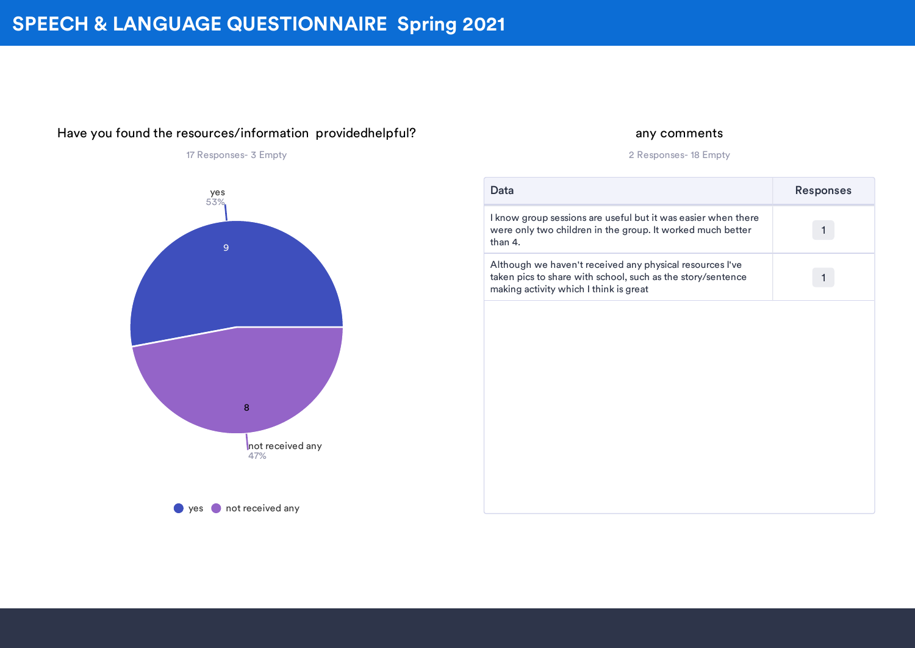#### Have you found the resources/information providedhelpful?

17 Responses- 3 Empty



yes not received any

#### any comments

#### 2 Responses- 18 Empty

| Data                                                                                                                                                              | <b>Responses</b> |
|-------------------------------------------------------------------------------------------------------------------------------------------------------------------|------------------|
| I know group sessions are useful but it was easier when there<br>were only two children in the group. It worked much better<br>than 4.                            |                  |
| Although we haven't received any physical resources I've<br>taken pics to share with school, such as the story/sentence<br>making activity which I think is great |                  |
|                                                                                                                                                                   |                  |
|                                                                                                                                                                   |                  |
|                                                                                                                                                                   |                  |
|                                                                                                                                                                   |                  |
|                                                                                                                                                                   |                  |
|                                                                                                                                                                   |                  |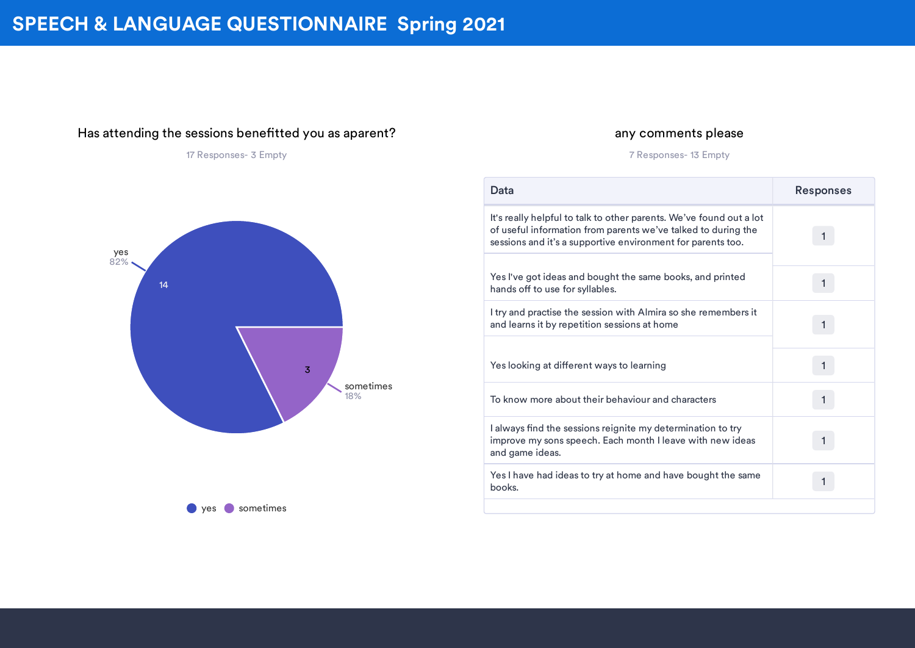#### Has attending the sessions benefitted you as aparent?

17 Responses- 3 Empty



#### 7 Responses- 13 Empty



| Data                                                                                                                                                                                                | <b>Responses</b> |
|-----------------------------------------------------------------------------------------------------------------------------------------------------------------------------------------------------|------------------|
| It's really helpful to talk to other parents. We've found out a lot<br>of useful information from parents we've talked to during the<br>sessions and it's a supportive environment for parents too. |                  |
| Yes I've got ideas and bought the same books, and printed<br>hands off to use for syllables.                                                                                                        |                  |
| I try and practise the session with Almira so she remembers it<br>and learns it by repetition sessions at home                                                                                      |                  |
| Yes looking at different ways to learning                                                                                                                                                           |                  |
| To know more about their behaviour and characters                                                                                                                                                   |                  |
| I always find the sessions reignite my determination to try<br>improve my sons speech. Each month I leave with new ideas<br>and game ideas.                                                         |                  |
| Yes I have had ideas to try at home and have bought the same<br>books.                                                                                                                              |                  |
|                                                                                                                                                                                                     |                  |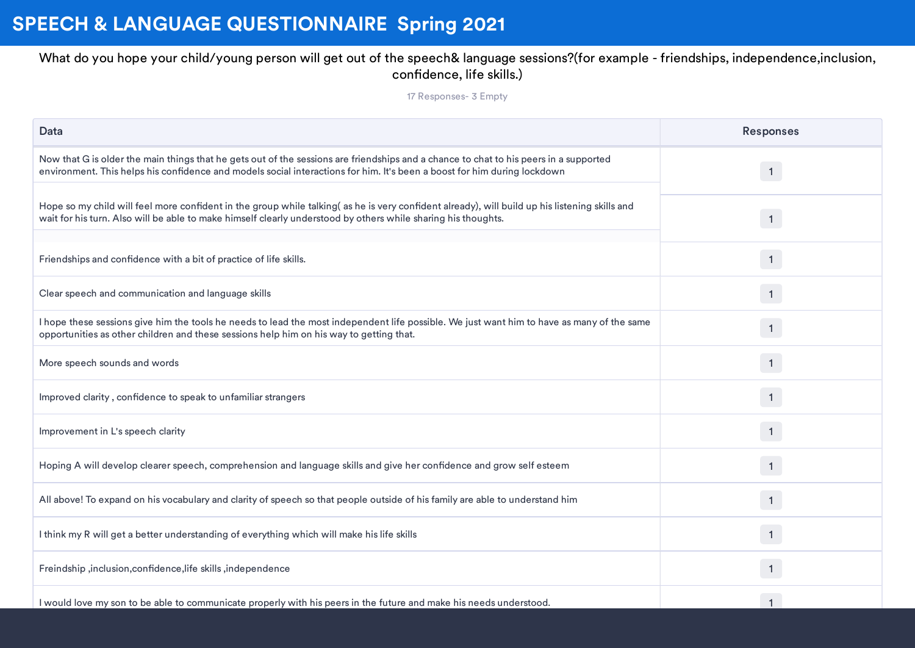#### What do you hope your child/young person will get out of the speech& language sessions?(for example - friendships, independence,inclusion, confidence, life skills.)

17 Responses- 3 Empty

| Data                                                                                                                                                                                                                                                              | <b>Responses</b> |
|-------------------------------------------------------------------------------------------------------------------------------------------------------------------------------------------------------------------------------------------------------------------|------------------|
| Now that G is older the main things that he gets out of the sessions are friendships and a chance to chat to his peers in a supported<br>environment. This helps his confidence and models social interactions for him. It's been a boost for him during lockdown | $\mathbf{1}$     |
| Hope so my child will feel more confident in the group while talking( as he is very confident already), will build up his listening skills and<br>wait for his turn. Also will be able to make himself clearly understood by others while sharing his thoughts.   | $\mathbf{1}$     |
| Friendships and confidence with a bit of practice of life skills.                                                                                                                                                                                                 | $\mathbf{1}$     |
| Clear speech and communication and language skills                                                                                                                                                                                                                | $\overline{1}$   |
| I hope these sessions give him the tools he needs to lead the most independent life possible. We just want him to have as many of the same<br>opportunities as other children and these sessions help him on his way to getting that.                             | 1                |
| More speech sounds and words                                                                                                                                                                                                                                      | $\mathbf{1}$     |
| Improved clarity, confidence to speak to unfamiliar strangers                                                                                                                                                                                                     | 1                |
| Improvement in L's speech clarity                                                                                                                                                                                                                                 | 1                |
| Hoping A will develop clearer speech, comprehension and language skills and give her confidence and grow self esteem                                                                                                                                              | $\overline{1}$   |
| All above! To expand on his vocabulary and clarity of speech so that people outside of his family are able to understand him                                                                                                                                      | 1                |
| I think my R will get a better understanding of everything which will make his life skills                                                                                                                                                                        | $\mathbf{1}$     |
| Freindship, inclusion, confidence, life skills, independence                                                                                                                                                                                                      | $\mathbf{1}$     |
| I would love my son to be able to communicate properly with his peers in the future and make his needs understood.                                                                                                                                                |                  |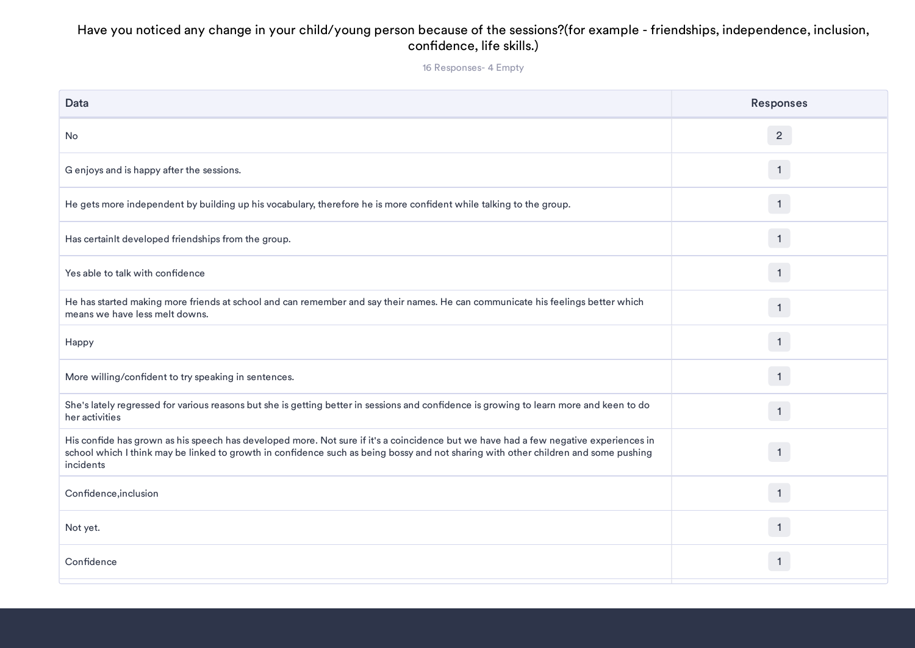#### Have you noticed any change in your child/young person because of the sessions?(for example - friendships, independence, inclusion, confidence, life skills.)

16 Responses- 4 Empty

| Data                                                                                                                                                                                                                                                                                     | <b>Responses</b> |
|------------------------------------------------------------------------------------------------------------------------------------------------------------------------------------------------------------------------------------------------------------------------------------------|------------------|
| No.                                                                                                                                                                                                                                                                                      | $\overline{2}$   |
| G enjoys and is happy after the sessions.                                                                                                                                                                                                                                                | $\overline{1}$   |
| He gets more independent by building up his vocabulary, therefore he is more confident while talking to the group.                                                                                                                                                                       | $\mathbf{1}$     |
| Has certainIt developed friendships from the group.                                                                                                                                                                                                                                      | $\mathbf{1}$     |
| Yes able to talk with confidence                                                                                                                                                                                                                                                         | 1                |
| He has started making more friends at school and can remember and say their names. He can communicate his feelings better which<br>means we have less melt downs.                                                                                                                        | $\mathbf{1}$     |
| Happy                                                                                                                                                                                                                                                                                    | $\overline{1}$   |
| More willing/confident to try speaking in sentences.                                                                                                                                                                                                                                     | 1                |
| She's lately regressed for various reasons but she is getting better in sessions and confidence is growing to learn more and keen to do<br>her activities                                                                                                                                | $\overline{1}$   |
| His confide has grown as his speech has developed more. Not sure if it's a coincidence but we have had a few negative experiences in<br>school which I think may be linked to growth in confidence such as being bossy and not sharing with other children and some pushing<br>incidents | $\overline{1}$   |
| Confidence, inclusion                                                                                                                                                                                                                                                                    | 1                |
| Not yet.                                                                                                                                                                                                                                                                                 | $\mathbf{1}$     |
| Confidence                                                                                                                                                                                                                                                                               | $\mathbf{1}$     |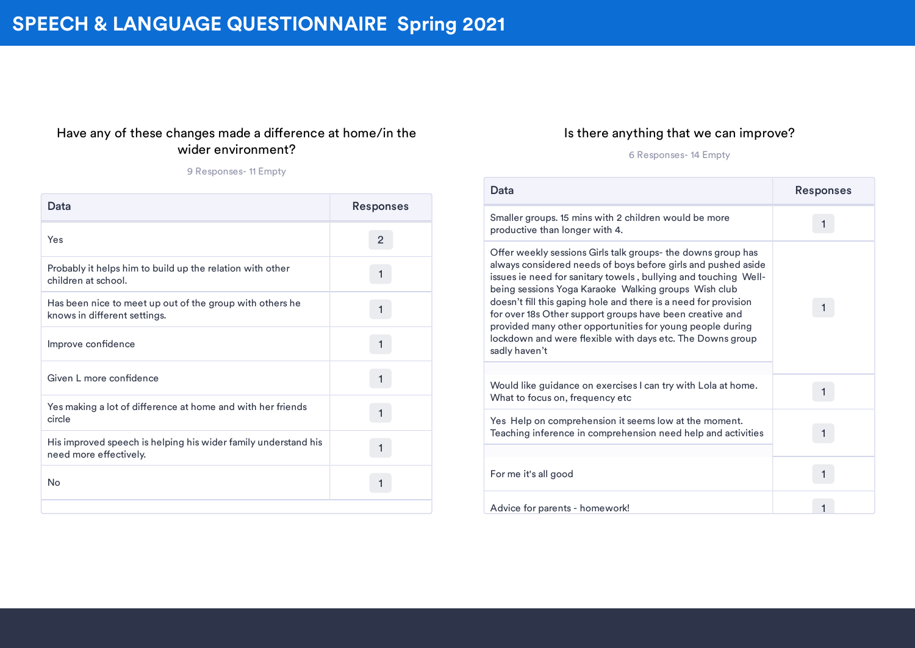#### Have any of these changes made a difference at home/in the wider environment?

9 Responses- 11 Empty

| Data                                                                                     | <b>Responses</b> |
|------------------------------------------------------------------------------------------|------------------|
| Yes                                                                                      | 2                |
| Probably it helps him to build up the relation with other<br>children at school.         |                  |
| Has been nice to meet up out of the group with others he<br>knows in different settings. |                  |
| Improve confidence                                                                       |                  |
| Given L more confidence                                                                  |                  |
| Yes making a lot of difference at home and with her friends<br>circle                    |                  |
| His improved speech is helping his wider family understand his<br>need more effectively. |                  |
| <b>No</b>                                                                                |                  |
|                                                                                          |                  |

#### Is there anything that we can improve?

6 Responses- 14 Empty

| Data                                                                                                                                                                                                                                                                                                                                                                                                                                                                                                                               | <b>Responses</b> |
|------------------------------------------------------------------------------------------------------------------------------------------------------------------------------------------------------------------------------------------------------------------------------------------------------------------------------------------------------------------------------------------------------------------------------------------------------------------------------------------------------------------------------------|------------------|
| Smaller groups. 15 mins with 2 children would be more<br>productive than longer with 4.                                                                                                                                                                                                                                                                                                                                                                                                                                            |                  |
| Offer weekly sessions Girls talk groups- the downs group has<br>always considered needs of boys before girls and pushed aside<br>issues ie need for sanitary towels, bullying and touching Well-<br>being sessions Yoga Karaoke Walking groups Wish club<br>doesn't fill this gaping hole and there is a need for provision<br>for over 18s Other support groups have been creative and<br>provided many other opportunities for young people during<br>lockdown and were flexible with days etc. The Downs group<br>sadly haven't |                  |
| Would like guidance on exercises I can try with Lola at home.<br>What to focus on, frequency etc                                                                                                                                                                                                                                                                                                                                                                                                                                   |                  |
| Yes Help on comprehension it seems low at the moment.<br>Teaching inference in comprehension need help and activities                                                                                                                                                                                                                                                                                                                                                                                                              |                  |
| For me it's all good                                                                                                                                                                                                                                                                                                                                                                                                                                                                                                               |                  |
| Advice for parents - homework!                                                                                                                                                                                                                                                                                                                                                                                                                                                                                                     |                  |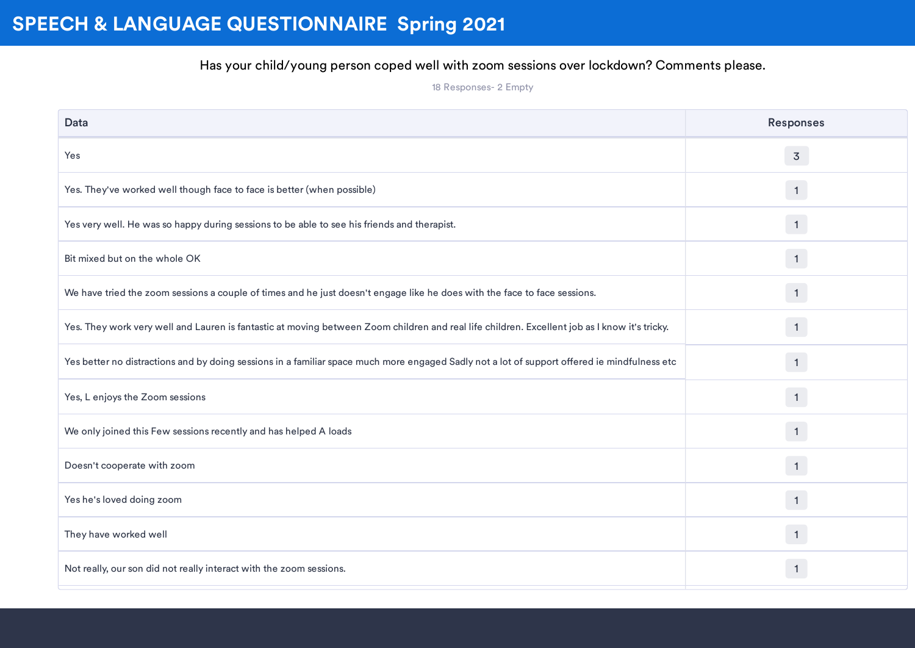### Has your child/young person coped well with zoom sessions over lockdown? Comments please.

18 Responses- 2 Empty

| <b>Data</b>                                                                                                                                   | <b>Responses</b> |
|-----------------------------------------------------------------------------------------------------------------------------------------------|------------------|
| Yes                                                                                                                                           | $\overline{3}$   |
| Yes. They've worked well though face to face is better (when possible)                                                                        | $\mathbf{1}$     |
| Yes very well. He was so happy during sessions to be able to see his friends and therapist.                                                   | $\vert$ 1        |
| Bit mixed but on the whole OK                                                                                                                 | $\mathbf{1}$     |
| We have tried the zoom sessions a couple of times and he just doesn't engage like he does with the face to face sessions.                     | 1                |
| Yes. They work very well and Lauren is fantastic at moving between Zoom children and real life children. Excellent job as I know it's tricky. | $\overline{1}$   |
| Yes better no distractions and by doing sessions in a familiar space much more engaged Sadly not a lot of support offered ie mindfulness etc  | 1                |
| Yes, L enjoys the Zoom sessions                                                                                                               | $\overline{1}$   |
| We only joined this Few sessions recently and has helped A loads                                                                              | $\mathbf{1}$     |
| Doesn't cooperate with zoom                                                                                                                   | $\overline{1}$   |
| Yes he's loved doing zoom                                                                                                                     | $\mathbf{1}$     |
| They have worked well                                                                                                                         | 1                |
| Not really, our son did not really interact with the zoom sessions.                                                                           | $\mathbf{1}$     |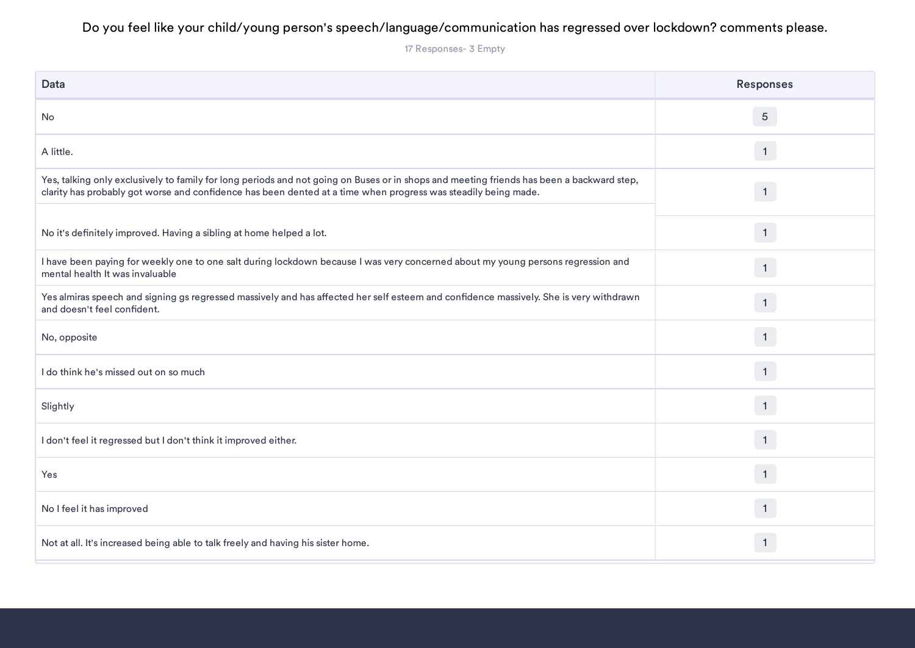### Do you feel like your child/young person's speech/language/communication has regressed over lockdown? comments please.

17 Responses- 3 Empty

| Data                                                                                                                                                                                                                                                        | <b>Responses</b> |
|-------------------------------------------------------------------------------------------------------------------------------------------------------------------------------------------------------------------------------------------------------------|------------------|
| No                                                                                                                                                                                                                                                          | $5\phantom{.0}$  |
| A little.                                                                                                                                                                                                                                                   | $\overline{1}$   |
| Yes, talking only exclusively to family for long periods and not going on Buses or in shops and meeting friends has been a backward step,<br>clarity has probably got worse and confidence has been dented at a time when progress was steadily being made. | $\overline{1}$   |
| No it's definitely improved. Having a sibling at home helped a lot.                                                                                                                                                                                         | $\mathbf{1}$     |
| I have been paying for weekly one to one salt during lockdown because I was very concerned about my young persons regression and<br>mental health It was invaluable                                                                                         | $\mathbf{1}$     |
| Yes almiras speech and signing gs regressed massively and has affected her self esteem and confidence massively. She is very withdrawn<br>and doesn't feel confident.                                                                                       | 1                |
| No, opposite                                                                                                                                                                                                                                                | $\mathbf{1}$     |
| I do think he's missed out on so much                                                                                                                                                                                                                       | $\overline{1}$   |
| Slightly                                                                                                                                                                                                                                                    | $\overline{1}$   |
| I don't feel it regressed but I don't think it improved either.                                                                                                                                                                                             | 1                |
| Yes                                                                                                                                                                                                                                                         | $\overline{1}$   |
| No I feel it has improved                                                                                                                                                                                                                                   | 1                |
| Not at all. It's increased being able to talk freely and having his sister home.                                                                                                                                                                            | $\mathbf{1}$     |